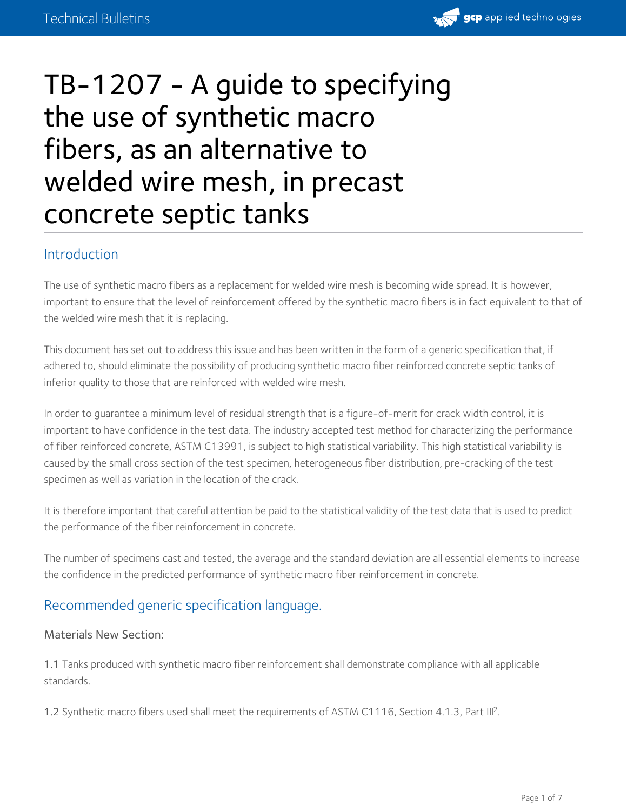

# TB-1207 - A guide to specifying the use of synthetic macro fibers, as an alternative to welded wire mesh, in precast concrete septic tanks

## Introduction

The use of synthetic macro fibers as a replacement for welded wire mesh is becoming wide spread. It is however, important to ensure that the level of reinforcement offered by the synthetic macro fibers is in fact equivalent to that of the welded wire mesh that it is replacing.

This document has set out to address this issue and has been written in the form of a generic specification that, if adhered to, should eliminate the possibility of producing synthetic macro fiber reinforced concrete septic tanks of inferior quality to those that are reinforced with welded wire mesh.

In order to guarantee a minimum level of residual strength that is a figure-of-merit for crack width control, it is important to have confidence in the test data. The industry accepted test method for characterizing the performance of fiber reinforced concrete, ASTM C13991, is subject to high statistical variability. This high statistical variability is caused by the small cross section of the test specimen, heterogeneous fiber distribution, pre-cracking of the test specimen as well as variation in the location of the crack.

It is therefore important that careful attention be paid to the statistical validity of the test data that is used to predict the performance of the fiber reinforcement in concrete.

The number of specimens cast and tested, the average and the standard deviation are all essential elements to increase the confidence in the predicted performance of synthetic macro fiber reinforcement in concrete.

## Recommended generic specification language.

#### Materials New Section:

1.1 Tanks produced with synthetic macro fiber reinforcement shall demonstrate compliance with all applicable standards.

1.2 Synthetic macro fibers used shall meet the requirements of ASTM C1116, Section 4.1.3, Part III<sup>2</sup>.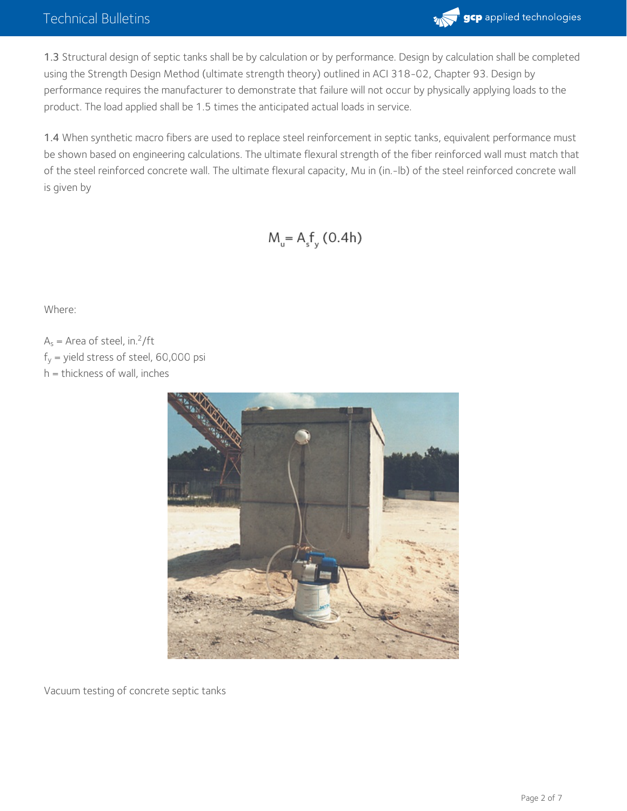## Technical Bulletins



1.3 Structural design of septic tanks shall be by calculation or by performance. Design by calculation shall be completed using the Strength Design Method (ultimate strength theory) outlined in ACI 318-02, Chapter 93. Design by performance requires the manufacturer to demonstrate that failure will not occur by physically applying loads to the product. The load applied shall be 1.5 times the anticipated actual loads in service.

1.4 When synthetic macro fibers are used to replace steel reinforcement in septic tanks, equivalent performance must be shown based on engineering calculations. The ultimate flexural strength of the fiber reinforced wall must match that of the steel reinforced concrete wall. The ultimate flexural capacity, Mu in (in.-lb) of the steel reinforced concrete wall is given by

## $M_{u} = A_{s}f_{y}$  (0.4h)

Where:

 $A_s$  = Area of steel, in.<sup>2</sup>/ft  $f_y$  = yield stress of steel, 60,000 psi





Vacuum testing of concrete septic tanks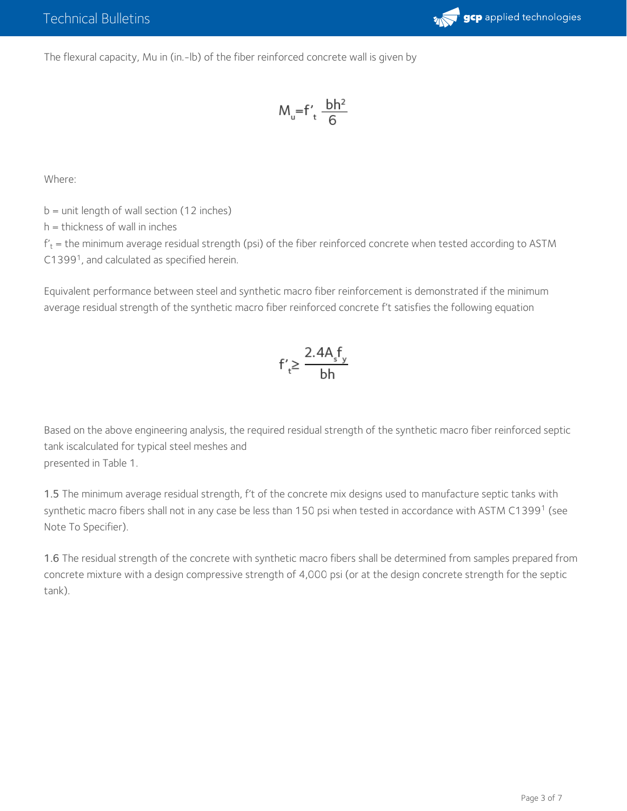

The flexural capacity, Mu in (in.-lb) of the fiber reinforced concrete wall is given by

$$
M_u = f'_t \frac{bh^2}{6}
$$

Where:

 $b =$  unit length of wall section (12 inches)

h = thickness of wall in inches

 $\rm{f'_{t}}$  = the minimum average residual strength (psi) of the fiber reinforced concrete when tested according to ASTM C1399<sup>1</sup>, and calculated as specified herein.

Equivalent performance between steel and synthetic macro fiber reinforcement is demonstrated if the minimum average residual strength of the synthetic macro fiber reinforced concrete f't satisfies the following equation

$$
f'_t \ge \frac{2.4A_s f_y}{bh}
$$

Based on the above engineering analysis, the required residual strength of the synthetic macro fiber reinforced septic tank iscalculated for typical steel meshes and presented in Table 1.

1.5 The minimum average residual strength, f't of the concrete mix designs used to manufacture septic tanks with synthetic macro fibers shall not in any case be less than 150 psi when tested in accordance with ASTM C1399<sup>1</sup> (see Note To Specifier).

1.6 The residual strength of the concrete with synthetic macro fibers shall be determined from samples prepared from concrete mixture with a design compressive strength of 4,000 psi (or at the design concrete strength for the septic tank).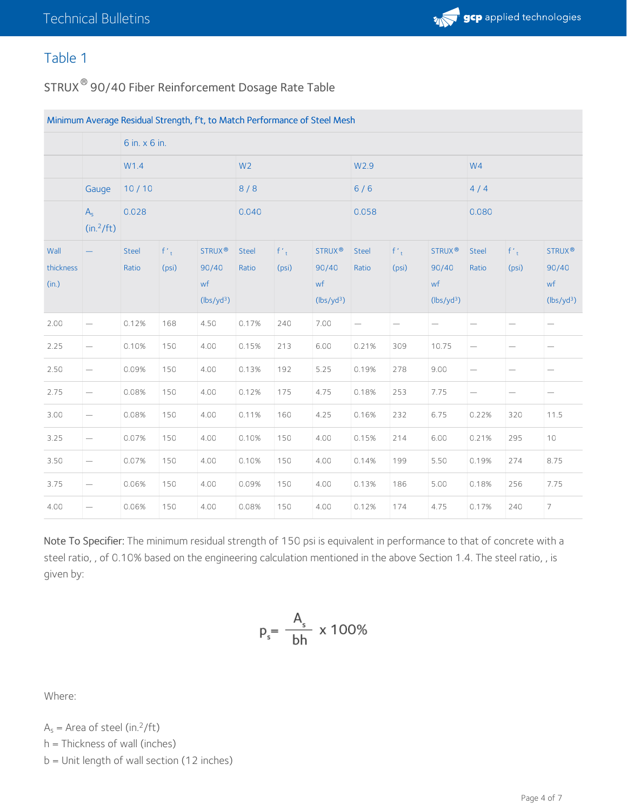## Table 1

<code>STRUX $^\circledR$ 90/40</code> Fiber Reinforcement Dosage Rate Table

| Minimum Average Residual Strength, f't, to Match Performance of Steel Mesh |                          |                |                   |                                                             |                |                                    |                                                        |                |                                |                                                             |                          |                          |                                                             |
|----------------------------------------------------------------------------|--------------------------|----------------|-------------------|-------------------------------------------------------------|----------------|------------------------------------|--------------------------------------------------------|----------------|--------------------------------|-------------------------------------------------------------|--------------------------|--------------------------|-------------------------------------------------------------|
|                                                                            |                          | 6 in. x 6 in.  |                   |                                                             |                |                                    |                                                        |                |                                |                                                             |                          |                          |                                                             |
|                                                                            |                          | W1.4<br>10/10  |                   | W <sub>2</sub><br>8/8                                       |                | W <sub>2.9</sub><br>$6/6$<br>0.058 |                                                        |                | W <sub>4</sub><br>4/4<br>0.080 |                                                             |                          |                          |                                                             |
|                                                                            | Gauge                    |                |                   |                                                             |                |                                    |                                                        |                |                                |                                                             |                          |                          |                                                             |
|                                                                            | $A_{s}$<br>$(in.^2/ft)$  | 0.028          |                   |                                                             | 0.040          |                                    |                                                        |                |                                |                                                             |                          |                          |                                                             |
| Wall<br>thickness<br>(in.)                                                 |                          | Steel<br>Ratio | $f'_{t}$<br>(psi) | STRUX <sup>®</sup><br>90/40<br>wf<br>(lbs/yd <sup>3</sup> ) | Steel<br>Ratio | $f'_{t}$<br>(psi)                  | <b>STRUX®</b><br>90/40<br>wf<br>(lbs/yd <sup>3</sup> ) | Steel<br>Ratio | $f'_{t}$<br>(psi)              | STRUX <sup>®</sup><br>90/40<br>wf<br>(lbs/yd <sup>3</sup> ) | Steel<br>Ratio           | $f'_{t}$<br>(psi)        | STRUX <sup>®</sup><br>90/40<br>wf<br>(lbs/yd <sup>3</sup> ) |
| 2.00                                                                       | $\overline{\phantom{0}}$ | 0.12%          | 168               | 4.50                                                        | 0.17%          | 240                                | 7.00                                                   |                | $\overline{\phantom{0}}$       | $\overline{\phantom{0}}$                                    | $\overline{\phantom{m}}$ | $\overline{\phantom{0}}$ | $\qquad \qquad -$                                           |
| 2.25                                                                       |                          | 0.10%          | 150               | 4.00                                                        | 0.15%          | 213                                | 6.00                                                   | 0.21%          | 309                            | 10.75                                                       |                          |                          | $\overline{\phantom{0}}$                                    |
| 2.50                                                                       |                          | 0.09%          | 150               | 4.00                                                        | 0.13%          | 192                                | 5.25                                                   | 0.19%          | 278                            | 9.00                                                        |                          |                          | $\overline{\phantom{0}}$                                    |
| 2.75                                                                       | $\overline{\phantom{0}}$ | 0.08%          | 150               | 4.00                                                        | 0.12%          | 175                                | 4.75                                                   | 0.18%          | 253                            | 7.75                                                        | $\qquad \qquad -$        | $\overline{\phantom{0}}$ | $\qquad \qquad -$                                           |
| 3.00                                                                       |                          | 0.08%          | 150               | 4.00                                                        | 0.11%          | 160                                | 4.25                                                   | 0.16%          | 232                            | 6.75                                                        | 0.22%                    | 320                      | 11.5                                                        |
| 3.25                                                                       | $\overline{\phantom{0}}$ | 0.07%          | 150               | 4.00                                                        | 0.10%          | 150                                | 4.00                                                   | 0.15%          | 214                            | 6.00                                                        | 0.21%                    | 295                      | 10                                                          |
| 3.50                                                                       |                          | 0.07%          | 150               | 4.00                                                        | 0.10%          | 150                                | 4.00                                                   | 0.14%          | 199                            | 5.50                                                        | 0.19%                    | 274                      | 8.75                                                        |
| 3.75                                                                       | $\overline{\phantom{0}}$ | 0.06%          | 150               | 4.00                                                        | 0.09%          | 150                                | 4.00                                                   | 0.13%          | 186                            | 5.00                                                        | 0.18%                    | 256                      | 7.75                                                        |
| 4.00                                                                       | $\overline{\phantom{0}}$ | 0.06%          | 150               | 4.00                                                        | 0.08%          | 150                                | 4.00                                                   | 0.12%          | 174                            | 4.75                                                        | 0.17%                    | 240                      | 7                                                           |

Note To Specifier: The minimum residual strength of 150 psi is equivalent in performance to that of concrete with a steel ratio, , of 0.10% based on the engineering calculation mentioned in the above Section 1.4. The steel ratio, , is given by:

$$
p_s = \frac{A_s}{bh} \times 100\%
$$

Where:

 $A_s$  = Area of steel (in.<sup>2</sup>/ft)

h = Thickness of wall (inches)

b = Unit length of wall section (12 inches)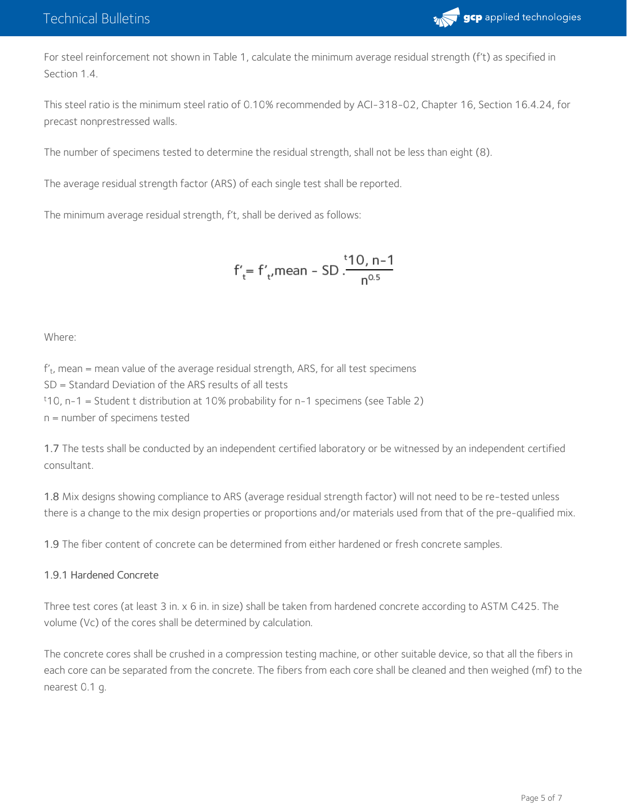

For steel reinforcement not shown in Table 1, calculate the minimum average residual strength (f't) as specified in Section 1.4.

This steel ratio is the minimum steel ratio of 0.10% recommended by ACI-318-02, Chapter 16, Section 16.4.24, for precast nonprestressed walls.

The number of specimens tested to determine the residual strength, shall not be less than eight (8).

The average residual strength factor (ARS) of each single test shall be reported.

The minimum average residual strength, f't, shall be derived as follows:

$$
f'_t = f'_t
$$
mean - SD  $\frac{110}{100}$ , n-1

Where:

 $\mathsf{f}^\prime_{\mathsf{t}}$ , mean = mean value of the average residual strength, ARS, for all test specimens SD = Standard Deviation of the ARS results of all tests <sup>t</sup>10, n-1 = Student t distribution at 10% probability for n-1 specimens (see Table 2) n = number of specimens tested

1.7 The tests shall be conducted by an independent certified laboratory or be witnessed by an independent certified consultant.

1.8 Mix designs showing compliance to ARS (average residual strength factor) will not need to be re-tested unless there is a change to the mix design properties or proportions and/or materials used from that of the pre-qualified mix.

1.9 The fiber content of concrete can be determined from either hardened or fresh concrete samples.

#### 1.9.1 Hardened Concrete

Three test cores (at least 3 in. x 6 in. in size) shall be taken from hardened concrete according to ASTM C425. The volume (Vc) of the cores shall be determined by calculation.

The concrete cores shall be crushed in a compression testing machine, or other suitable device, so that all the fibers in each core can be separated from the concrete. The fibers from each core shall be cleaned and then weighed (mf) to the nearest 0.1 g.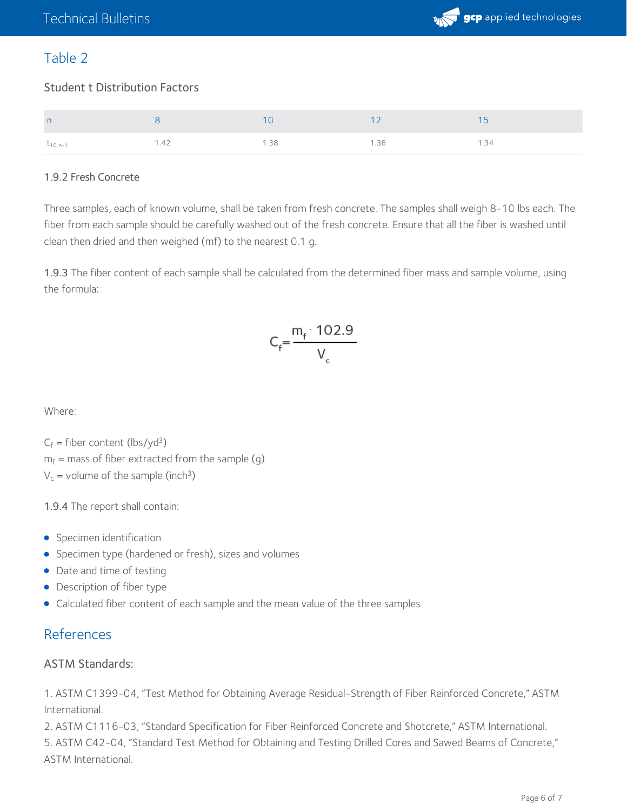

## Table 2

### Student t Distribution Factors

| n             |     |    |      |  |
|---------------|-----|----|------|--|
| $t_{10, n-1}$ | 142 | 38 | 1.36 |  |

### 1.9.2 Fresh Concrete

Three samples, each of known volume, shall be taken from fresh concrete. The samples shall weigh 8-10 lbs each. The fiber from each sample should be carefully washed out of the fresh concrete. Ensure that all the fiber is washed until clean then dried and then weighed (mf) to the nearest 0.1 g.

1.9.3 The fiber content of each sample shall be calculated from the determined fiber mass and sample volume, using the formula:

$$
C_f = \frac{m_f \cdot 102.9}{V_c}
$$

Where:

 $C_f$  = fiber content (lbs/yd<sup>3</sup>)

 $m_{\rm f}$  = mass of fiber extracted from the sample (g)

 $V_c$  = volume of the sample (inch<sup>3</sup>)

1.9.4 The report shall contain:

- Specimen identification
- **•** Specimen type (hardened or fresh), sizes and volumes
- Date and time of testing
- Description of fiber type
- Calculated fiber content of each sample and the mean value of the three samples

## References

#### ASTM Standards:

1. ASTM C1399-04, "Test Method for Obtaining Average Residual-Strength of Fiber Reinforced Concrete," ASTM International.

2. ASTM C1116-03, "Standard Specification for Fiber Reinforced Concrete and Shotcrete," ASTM International.

5. ASTM C42-04, "Standard Test Method for Obtaining and Testing Drilled Cores and Sawed Beams of Concrete," ASTM International.